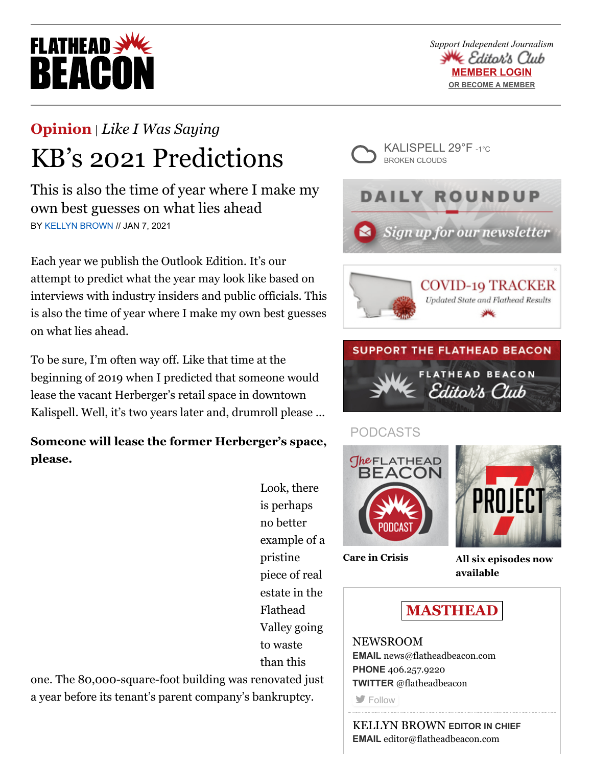# **FLATHEAD BEACO**

*Support Independent Journalism* **≤** Editor's Club **MEMBER LOGIN [OR BECOME A MEMBER](https://beaconeditorsclub.com/promo)**

## **[Opinion](https://flatheadbeacon.com/section/opinion/)** | *[Like I Was Saying](https://flatheadbeacon.com/section/opinion/like-i-was-saying/)* KB's 2021 Predictions

This is also the time of year where I make my own best guesses on what lies ahead BY [KELLYN BROWN](https://flatheadbeacon.com/author/kellynbrown/) // JAN 7, 2021

Each year we publish the Outlook Edition. It's our attempt to predict what the year may look like based on interviews with industry insiders and public officials. This is also the time of year where I make my own best guesses on what lies ahead.

To be sure, I'm often way off. Like that time at the beginning of 2019 when I predicted that someone would lease the vacant Herberger's retail space in downtown Kalispell. Well, it's two years later and, drumroll please …

**Someone will lease the former Herberger's space, please.**

> Look, there is perhaps no better example of a pristine piece of real estate in the Flathead Valley going to waste than this

one. The 80,000-square-foot building was renovated just a year before its tenant's parent company's bankruptcy.









## PODCASTS





**[Care in Crisis](https://flatheadbeacon.com/2021/01/20/podcast-care-crisis/) [All six episodes now](https://project7pod.com/) available**



### NEWSROOM **EMAIL** [news@flatheadbeacon.com](mailto:news@flatheadbeacon.com) **PHONE** [406.257.9220](tel:406.257.9220) **TWITTER** @flatheadbeacon

**[Follow](http://twitter.com/flatheadbeacon)** 

KELLYN BROWN **EDITOR IN CHIEF EMAIL** [editor@flatheadbeacon.com](mailto:editor@flatheadbeacon.com)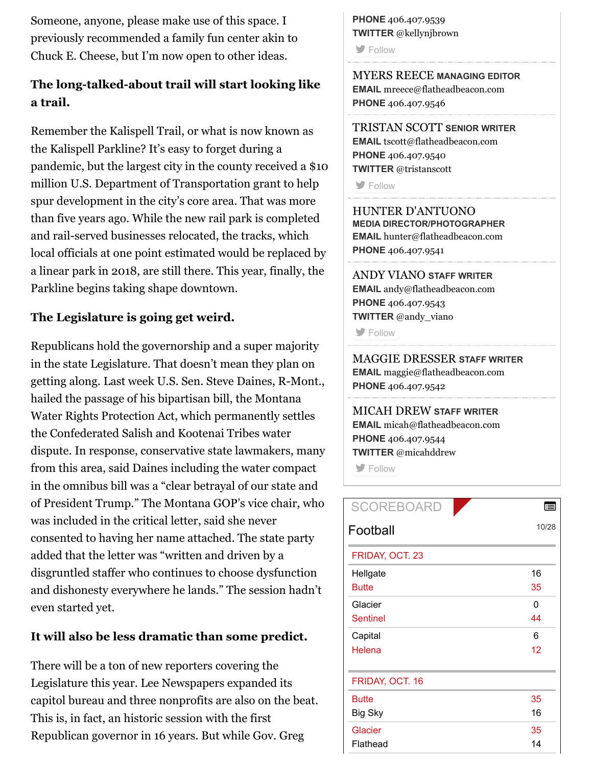Someone, anyone, please make use of this space. I previously recommended a family fun center akin to Chuck E. Cheese, but I'm now open to other ideas.

#### **The long-talked-about trail will start looking like a trail.**

Remember the Kalispell Trail, or what is now known as the Kalispell Parkline? It's easy to forget during a pandemic, but the largest city in the county received a \$10 million U.S. Department of Transportation grant to help spur development in the city's core area. That was more than five years ago. While the new rail park is completed and rail-served businesses relocated, the tracks, which local officials at one point estimated would be replaced by a linear park in 2018, are still there. This year, finally, the Parkline begins taking shape downtown.

#### **The Legislature is going get weird.**

Republicans hold the governorship and a super majority in the state Legislature. That doesn't mean they plan on getting along. Last week U.S. Sen. Steve Daines, R-Mont., hailed the passage of his bipartisan bill, the Montana Water Rights Protection Act, which permanently settles the Confederated Salish and Kootenai Tribes water dispute. In response, conservative state lawmakers, many from this area, said Daines including the water compact in the omnibus bill was a "clear betrayal of our state and of President Trump." The Montana GOP's vice chair, who was included in the critical letter, said she never consented to having her name attached. The state party added that the letter was "written and driven by a disgruntled staffer who continues to choose dysfunction and dishonesty everywhere he lands." The session hadn't even started yet.

#### **It will also be less dramatic than some predict.**

There will be a ton of new reporters covering the Legislature this year. Lee Newspapers expanded its capitol bureau and three nonprofits are also on the beat. This is, in fact, an historic session with the first Republican governor in 16 years. But while Gov. Greg

**PHONE** [406.407.9539](tel:406.407.9539) **TWITTER** @kellynjbrown

**[Follow](http://twitter.com/kellynjbrown)** 

MYERS REECE **MANAGING EDITOR EMAIL** [mreece@flatheadbeacon.com](mailto:mreece@flatheadbeacon.com) **PHONE** [406.407.9546](tel:406.407.9546)

TRISTAN SCOTT **SENIOR WRITER EMAIL** [tscott@flatheadbeacon.com](mailto:tscott@flatheadbeacon.com) **PHONE** [406.407.9540](tel:406.407.9540) **TWITTER** @tristanscott

**[Follow](http://twitter.com/tristanscott)** 

HUNTER D'ANTUONO **MEDIA DIRECTOR/PHOTOGRAPHER EMAIL** [hunter@flatheadbeacon.com](mailto:hunter@flatheadbeacon.com) **PHONE** [406.407.9541](tel:406.407.9541)

ANDY VIANO **STAFF WRITER EMAIL** [andy@flatheadbeacon.com](mailto:andy@flatheadbeacon.com) **PHONE** [406.407.9543](tel:406.407.9543) **TWITTER** @andy\_viano

**[Follow](http://twitter.com/andy_viano)** 

MAGGIE DRESSER **STAFF WRITER EMAIL** [maggie@flatheadbeacon.com](mailto:maggie@flatheadbeacon.com) **PHONE** [406.407.9542](tel:406.407.9542)

#### MICAH DREW **STAFF WRITER EMAIL** [micah@flatheadbeacon.com](mailto:micah@flatheadbeacon.com) **PHONE** [406.407.9544](tel:406.407.9544)

**TWITTER** @micahddrew

**S** [Follow](http://twitter.com/micahddrew)

| <b>SCOREBOARD</b> |       |
|-------------------|-------|
| Football          | 10/28 |
| FRIDAY, OCT. 23   |       |
| Hellgate          | 16    |
| <b>Butte</b>      | 35    |
| Glacier           | 0     |
| <b>Sentinel</b>   | 44    |
| Capital           | 6     |
| Helena            | 12    |
| FRIDAY, OCT. 16   |       |
| <b>Butte</b>      | 35    |
| <b>Big Sky</b>    | 16    |
| Glacier           | 35    |
| Flathead          | 14    |